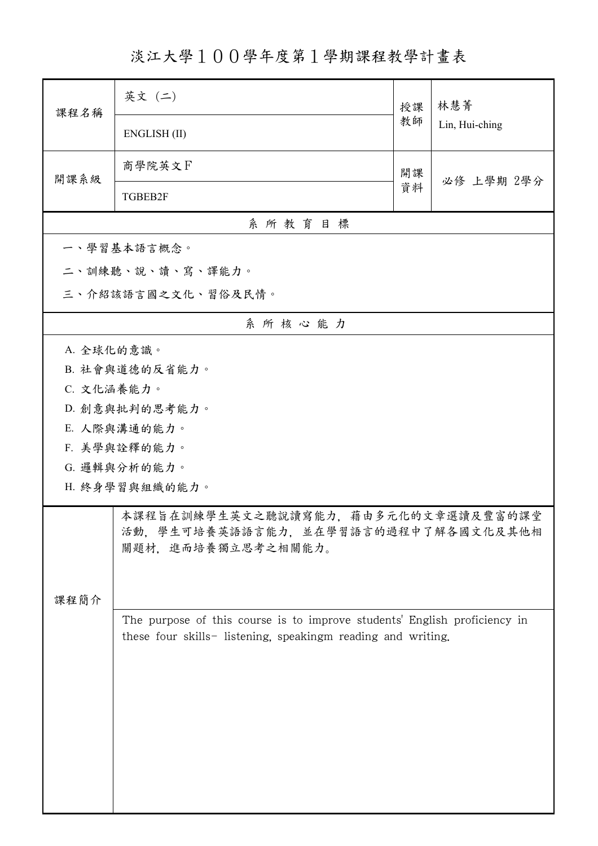淡江大學100學年度第1學期課程教學計畫表

| 課程名稱                                                                                                     | 英文 (二)                                                                                                                                    | 授課 | 林慧菁<br>Lin, Hui-ching |  |  |  |  |
|----------------------------------------------------------------------------------------------------------|-------------------------------------------------------------------------------------------------------------------------------------------|----|-----------------------|--|--|--|--|
|                                                                                                          | ENGLISH (II)                                                                                                                              | 教師 |                       |  |  |  |  |
| 開課系級                                                                                                     | 商學院英文下                                                                                                                                    | 開課 | 必修 上學期 2學分            |  |  |  |  |
|                                                                                                          | TGBEB2F                                                                                                                                   | 資料 |                       |  |  |  |  |
|                                                                                                          | 系所教育目標                                                                                                                                    |    |                       |  |  |  |  |
|                                                                                                          | 一、學習基本語言概念。                                                                                                                               |    |                       |  |  |  |  |
|                                                                                                          | 二、訓練聽、說、讀、寫、譯能力。                                                                                                                          |    |                       |  |  |  |  |
|                                                                                                          | 三、介紹該語言國之文化、習俗及民情。                                                                                                                        |    |                       |  |  |  |  |
|                                                                                                          | 系所核心能力                                                                                                                                    |    |                       |  |  |  |  |
| A. 全球化的意識。                                                                                               |                                                                                                                                           |    |                       |  |  |  |  |
|                                                                                                          | B. 社會與道德的反省能力。                                                                                                                            |    |                       |  |  |  |  |
| C. 文化涵養能力。                                                                                               |                                                                                                                                           |    |                       |  |  |  |  |
|                                                                                                          | D. 創意與批判的思考能力。                                                                                                                            |    |                       |  |  |  |  |
|                                                                                                          | E. 人際與溝通的能力。                                                                                                                              |    |                       |  |  |  |  |
|                                                                                                          | F. 美學與詮釋的能力。                                                                                                                              |    |                       |  |  |  |  |
|                                                                                                          | G. 邏輯與分析的能力。                                                                                                                              |    |                       |  |  |  |  |
|                                                                                                          | H. 終身學習與組織的能力。                                                                                                                            |    |                       |  |  |  |  |
| 本課程旨在訓練學生英文之聽說讀寫能力,藉由多元化的文章選讀及豐富的課堂<br>活動,學生可培養英語語言能力,並在學習語言的過程中了解各國文化及其他相<br>關題材、進而培養獨立思考之相關能力。<br>課程簡介 |                                                                                                                                           |    |                       |  |  |  |  |
|                                                                                                          | The purpose of this course is to improve students' English proficiency in<br>these four skills- listening, speakingm reading and writing. |    |                       |  |  |  |  |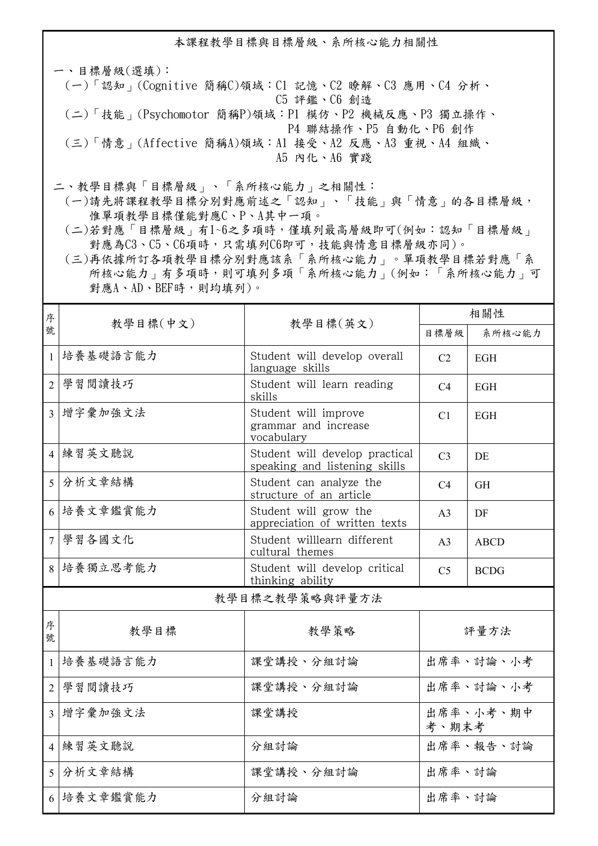本課程教學目標與目標層級、系所核心能力相關性

一、目標層級(選填): (一)「認知」(Cognitive 簡稱C)領域:C1 記憶、C2 瞭解、C3 應用、C4 分析、 C5 評鑑、C6 創造 (二)「技能」(Psychomotor 簡稱P)領域:P1 模仿、P2 機械反應、P3 獨立操作、 P4 聯結操作、P5 自動化、P6 創作 (三)「情意」(Affective 簡稱A)領域:A1 接受、A2 反應、A3 重視、A4 組織、 A5 內化、A6 實踐

二、教學目標與「目標層級」、「系所核心能力」之相關性:

 (一)請先將課程教學目標分別對應前述之「認知」、「技能」與「情意」的各目標層級, 惟單項教學目標僅能對應C、P、A其中一項。

 (二)若對應「目標層級」有1~6之多項時,僅填列最高層級即可(例如:認知「目標層級」 對應為C3、C5、C6項時,只需填列C6即可,技能與情意目標層級亦同)。

 (三)再依據所訂各項教學目標分別對應該系「系所核心能力」。單項教學目標若對應「系 所核心能力」有多項時,則可填列多項「系所核心能力」(例如:「系所核心能力」可 對應A、AD、BEF時,則均填列)。

| 序                       | 教學目標(中文)                                                                | 教學目標(英文)                                                        | 相關性                |             |  |  |
|-------------------------|-------------------------------------------------------------------------|-----------------------------------------------------------------|--------------------|-------------|--|--|
| 號                       |                                                                         |                                                                 | 目標層級               | 系所核心能力      |  |  |
| $\mathbf{1}$            | 培養基礎語言能力                                                                | Student will develop overall<br>language skills                 | C <sub>2</sub>     | <b>EGH</b>  |  |  |
| $\overline{2}$          | 學習閱讀技巧                                                                  | Student will learn reading<br>skills                            | C4                 | <b>EGH</b>  |  |  |
|                         | 3 增字彙加強文法<br>Student will improve<br>grammar and increase<br>vocabulary |                                                                 | C <sub>1</sub>     | <b>EGH</b>  |  |  |
|                         | 4 練習英文聽說                                                                | Student will develop practical<br>speaking and listening skills |                    | DE          |  |  |
| 5                       | 分析文章結構                                                                  | Student can analyze the<br>structure of an article              | C4                 | <b>GH</b>   |  |  |
|                         | 6 培養文章鑑賞能力                                                              | Student will grow the<br>appreciation of written texts          | A <sub>3</sub>     | DF          |  |  |
| $\overline{7}$          | 學習各國文化                                                                  | Student willlearn different<br>cultural themes                  | A <sub>3</sub>     | <b>ABCD</b> |  |  |
|                         | 8 培養獨立思考能力                                                              | Student will develop critical<br>thinking ability               | C <sub>5</sub>     | <b>BCDG</b> |  |  |
| 教學目標之教學策略與評量方法          |                                                                         |                                                                 |                    |             |  |  |
| 序<br>號                  | 教學目標                                                                    | 教學策略                                                            | 評量方法               |             |  |  |
| $\mathbf{1}$            | 培養基礎語言能力                                                                | 課堂講授、分組討論                                                       | 出席率、討論、小考          |             |  |  |
| $\overline{2}$          | 學習閱讀技巧                                                                  | 課堂講授、分組討論                                                       | 出席率、討論、小考          |             |  |  |
| $\overline{\mathbf{3}}$ | 增字彙加強文法                                                                 | 課堂講授                                                            | 出席率、小考、期中<br>考、期末考 |             |  |  |
|                         | 4 練習英文聽說                                                                | 分組討論                                                            |                    | 出席率、報告、討論   |  |  |
|                         | 5 分析文章結構                                                                | 課堂講授、分組討論                                                       | 出席率、討論             |             |  |  |
|                         | 6 培養文章鑑賞能力                                                              | 分組討論                                                            | 出席率、討論             |             |  |  |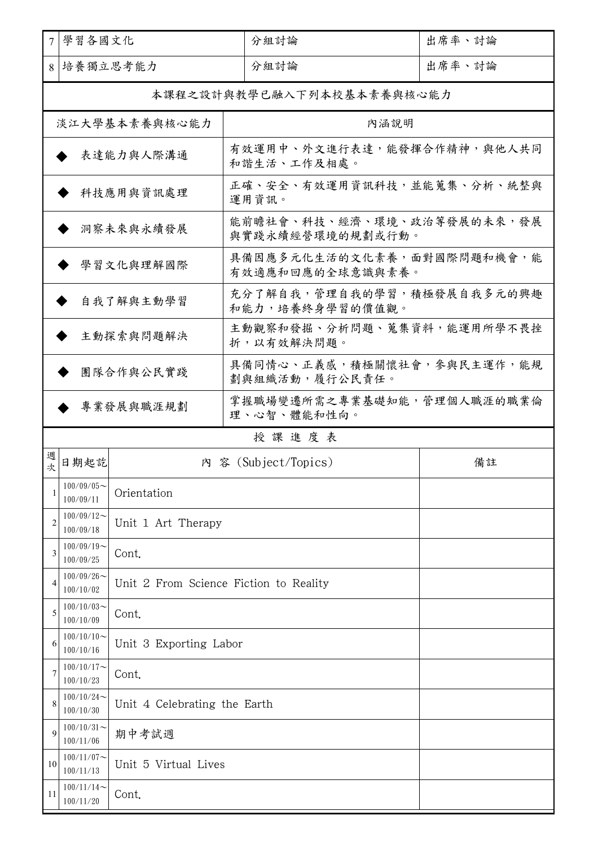| 學習各國文化<br>7                                            |                            | 分組討論                                      |                                                | 出席率、討論 |                            |  |
|--------------------------------------------------------|----------------------------|-------------------------------------------|------------------------------------------------|--------|----------------------------|--|
| 培養獨立思考能力<br>8                                          |                            |                                           | 分組討論                                           |        | 出席率、討論                     |  |
|                                                        | 本課程之設計與教學已融入下列本校基本素養與核心能力  |                                           |                                                |        |                            |  |
|                                                        | 淡江大學基本素養與核心能力<br>內涵說明      |                                           |                                                |        |                            |  |
| 表達能力與人際溝通                                              |                            | 有效運用中、外文進行表達,能發揮合作精神,與他人共同<br>和諧生活、工作及相處。 |                                                |        |                            |  |
| 科技應用與資訊處理                                              |                            | 正確、安全、有效運用資訊科技,並能蒐集、分析、統整與<br>運用資訊。       |                                                |        |                            |  |
| 洞察未來與永續發展                                              |                            |                                           | 能前瞻社會、科技、經濟、環境、政治等發展的未來,發展<br>與實踐永續經營環境的規劃或行動。 |        |                            |  |
| 學習文化與理解國際                                              |                            |                                           | 具備因應多元化生活的文化素養,面對國際問題和機會,能<br>有效適應和回應的全球意識與素養。 |        |                            |  |
| 自我了解與主動學習                                              |                            |                                           | 充分了解自我,管理自我的學習,積極發展自我多元的興趣<br>和能力,培養終身學習的價值觀。  |        |                            |  |
| 主動探索與問題解決                                              |                            |                                           | 主動觀察和發掘、分析問題、蒐集資料,能運用所學不畏挫<br>折,以有效解決問題。       |        |                            |  |
|                                                        |                            | 團隊合作與公民實踐                                 | 劃與組織活動,履行公民責任。                                 |        | 具備同情心、正義感,積極關懷社會,參與民主運作,能規 |  |
| 掌握職場變遷所需之專業基礎知能,管理個人職涯的職業倫<br>專業發展與職涯規劃<br>理、心智、體能和性向。 |                            |                                           |                                                |        |                            |  |
| 授課進度表                                                  |                            |                                           |                                                |        |                            |  |
|                                                        |                            |                                           |                                                |        |                            |  |
| 週<br>次                                                 | 日期起訖                       |                                           | 內 容 (Subject/Topics)                           |        | 備註                         |  |
|                                                        | $100/09/05$ ~<br>100/09/11 | Orientation                               |                                                |        |                            |  |
| $\overline{2}$                                         | $100/09/12$ ~<br>100/09/18 | Unit 1 Art Therapy                        |                                                |        |                            |  |
| 3                                                      | $100/09/19$ ~<br>100/09/25 | Cont.                                     |                                                |        |                            |  |
| $\overline{4}$                                         | $100/09/26$ ~<br>100/10/02 | Unit 2 From Science Fiction to Reality    |                                                |        |                            |  |
| 5                                                      | $100/10/03$ ~<br>100/10/09 | Cont.                                     |                                                |        |                            |  |
| 6                                                      | $100/10/10$ ~<br>100/10/16 | Unit 3 Exporting Labor                    |                                                |        |                            |  |
|                                                        | $100/10/17$ ~<br>100/10/23 | Cont.                                     |                                                |        |                            |  |
| 8                                                      | $100/10/24$ ~<br>100/10/30 | Unit 4 Celebrating the Earth              |                                                |        |                            |  |
| 9                                                      | $100/10/31$ ~<br>100/11/06 | 期中考試週                                     |                                                |        |                            |  |
| 10                                                     | $100/11/07$ ~<br>100/11/13 | Unit 5 Virtual Lives                      |                                                |        |                            |  |